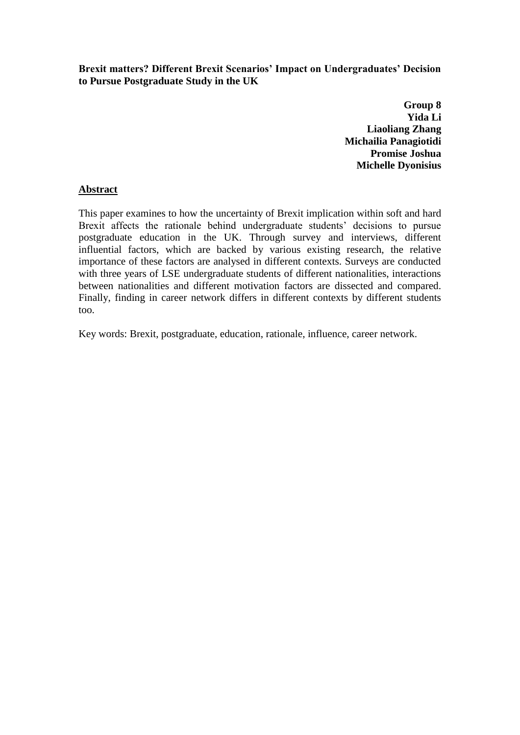**Brexit matters? Different Brexit Scenarios' Impact on Undergraduates' Decision to Pursue Postgraduate Study in the UK**

> **Group 8 Yida Li Liaoliang Zhang Michailia Panagiotidi Promise Joshua Michelle Dyonisius**

#### **Abstract**

This paper examines to how the uncertainty of Brexit implication within soft and hard Brexit affects the rationale behind undergraduate students' decisions to pursue postgraduate education in the UK. Through survey and interviews, different influential factors, which are backed by various existing research, the relative importance of these factors are analysed in different contexts. Surveys are conducted with three years of LSE undergraduate students of different nationalities, interactions between nationalities and different motivation factors are dissected and compared. Finally, finding in career network differs in different contexts by different students too.

Key words: Brexit, postgraduate, education, rationale, influence, career network.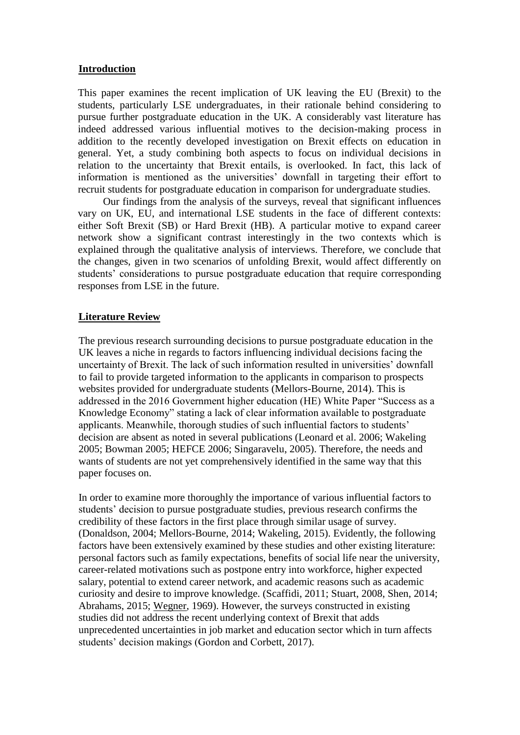#### **Introduction**

This paper examines the recent implication of UK leaving the EU (Brexit) to the students, particularly LSE undergraduates, in their rationale behind considering to pursue further postgraduate education in the UK. A considerably vast literature has indeed addressed various influential motives to the decision-making process in addition to the recently developed investigation on Brexit effects on education in general. Yet, a study combining both aspects to focus on individual decisions in relation to the uncertainty that Brexit entails, is overlooked. In fact, this lack of information is mentioned as the universities' downfall in targeting their effort to recruit students for postgraduate education in comparison for undergraduate studies.

Our findings from the analysis of the surveys, reveal that significant influences vary on UK, EU, and international LSE students in the face of different contexts: either Soft Brexit (SB) or Hard Brexit (HB). A particular motive to expand career network show a significant contrast interestingly in the two contexts which is explained through the qualitative analysis of interviews. Therefore, we conclude that the changes, given in two scenarios of unfolding Brexit, would affect differently on students' considerations to pursue postgraduate education that require corresponding responses from LSE in the future.

#### **Literature Review**

The previous research surrounding decisions to pursue postgraduate education in the UK leaves a niche in regards to factors influencing individual decisions facing the uncertainty of Brexit. The lack of such information resulted in universities' downfall to fail to provide targeted information to the applicants in comparison to prospects websites provided for undergraduate students (Mellors-Bourne, 2014). This is addressed in the 2016 Government higher education (HE) White Paper "Success as a Knowledge Economy" stating a lack of clear information available to postgraduate applicants. Meanwhile, thorough studies of such influential factors to students' decision are absent as noted in several publications (Leonard et al. 2006; Wakeling 2005; Bowman 2005; HEFCE 2006; Singaravelu, 2005). Therefore, the needs and wants of students are not yet comprehensively identified in the same way that this paper focuses on.

In order to examine more thoroughly the importance of various influential factors to students' decision to pursue postgraduate studies, previous research confirms the credibility of these factors in the first place through similar usage of survey. (Donaldson, 2004; Mellors-Bourne, 2014; Wakeling, 2015). Evidently, the following factors have been extensively examined by these studies and other existing literature: personal factors such as family expectations, benefits of social life near the university, career-related motivations such as postpone entry into workforce, higher expected salary, potential to extend career network, and academic reasons such as academic curiosity and desire to improve knowledge. (Scaffidi, 2011; Stuart, 2008, Shen, 2014; Abrahams, 2015; [Wegner,](http://librarysearch.lse.ac.uk/primo_library/libweb/action/search.do?vl(freeText0)=Wegner%2c+Eldon+L.&vl(81779454UI0)=creator&vl(1203765583209UI1)=all_items&fn=search&tab=default_tab&mode=Basic&vid=44LSE_VU1&scp.scps=scope%3a(44LSE)%2c44LSE_EbscoLocal1_4_8%2c44LSE_EbscoLocal2%2cprimo_central_multiple_fe&ct=lateralLinking) 1969). However, the surveys constructed in existing studies did not address the recent underlying context of Brexit that adds unprecedented uncertainties in job market and education sector which in turn affects students' decision makings (Gordon and Corbett, 2017).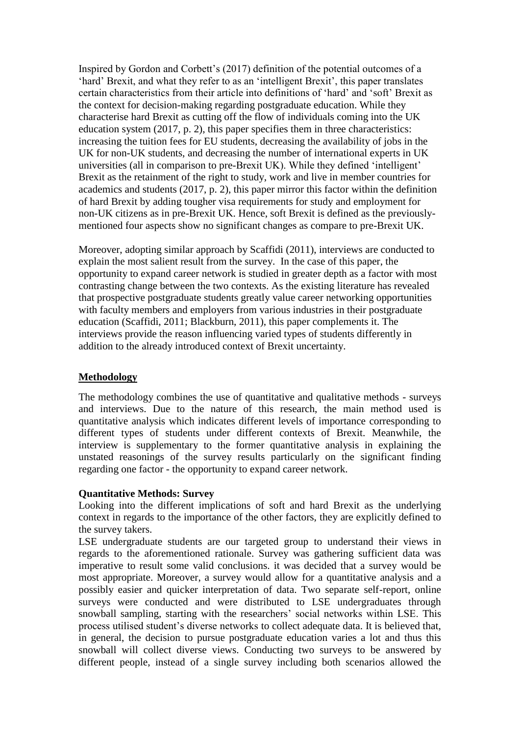Inspired by Gordon and Corbett's (2017) definition of the potential outcomes of a 'hard' Brexit, and what they refer to as an 'intelligent Brexit', this paper translates certain characteristics from their article into definitions of 'hard' and 'soft' Brexit as the context for decision-making regarding postgraduate education. While they characterise hard Brexit as cutting off the flow of individuals coming into the UK education system (2017, p. 2), this paper specifies them in three characteristics: increasing the tuition fees for EU students, decreasing the availability of jobs in the UK for non-UK students, and decreasing the number of international experts in UK universities (all in comparison to pre-Brexit UK). While they defined 'intelligent' Brexit as the retainment of the right to study, work and live in member countries for academics and students (2017, p. 2), this paper mirror this factor within the definition of hard Brexit by adding tougher visa requirements for study and employment for non-UK citizens as in pre-Brexit UK. Hence, soft Brexit is defined as the previouslymentioned four aspects show no significant changes as compare to pre-Brexit UK.

Moreover, adopting similar approach by Scaffidi (2011), interviews are conducted to explain the most salient result from the survey. In the case of this paper, the opportunity to expand career network is studied in greater depth as a factor with most contrasting change between the two contexts. As the existing literature has revealed that prospective postgraduate students greatly value career networking opportunities with faculty members and employers from various industries in their postgraduate education (Scaffidi, 2011; Blackburn, 2011), this paper complements it. The interviews provide the reason influencing varied types of students differently in addition to the already introduced context of Brexit uncertainty.

#### **Methodology**

The methodology combines the use of quantitative and qualitative methods - surveys and interviews. Due to the nature of this research, the main method used is quantitative analysis which indicates different levels of importance corresponding to different types of students under different contexts of Brexit. Meanwhile, the interview is supplementary to the former quantitative analysis in explaining the unstated reasonings of the survey results particularly on the significant finding regarding one factor - the opportunity to expand career network.

#### **Quantitative Methods: Survey**

Looking into the different implications of soft and hard Brexit as the underlying context in regards to the importance of the other factors, they are explicitly defined to the survey takers.

LSE undergraduate students are our targeted group to understand their views in regards to the aforementioned rationale. Survey was gathering sufficient data was imperative to result some valid conclusions. it was decided that a survey would be most appropriate. Moreover, a survey would allow for a quantitative analysis and a possibly easier and quicker interpretation of data. Two separate self-report, online surveys were conducted and were distributed to LSE undergraduates through snowball sampling, starting with the researchers' social networks within LSE. This process utilised student's diverse networks to collect adequate data. It is believed that, in general, the decision to pursue postgraduate education varies a lot and thus this snowball will collect diverse views. Conducting two surveys to be answered by different people, instead of a single survey including both scenarios allowed the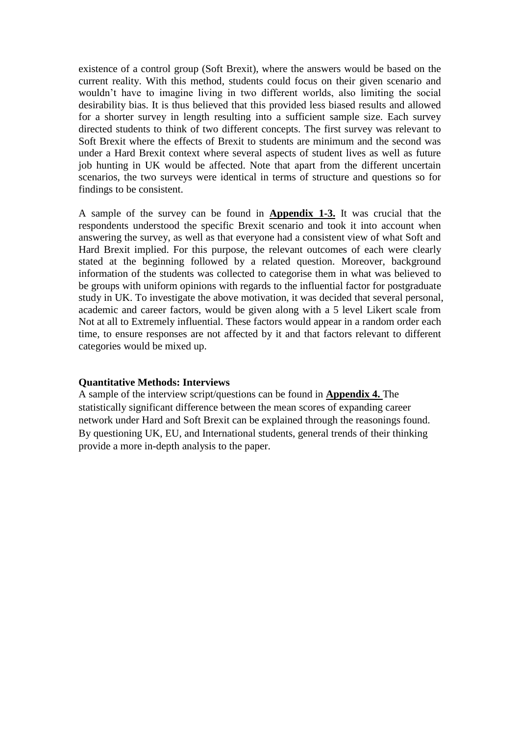existence of a control group (Soft Brexit), where the answers would be based on the current reality. With this method, students could focus on their given scenario and wouldn't have to imagine living in two different worlds, also limiting the social desirability bias. It is thus believed that this provided less biased results and allowed for a shorter survey in length resulting into a sufficient sample size. Each survey directed students to think of two different concepts. The first survey was relevant to Soft Brexit where the effects of Brexit to students are minimum and the second was under a Hard Brexit context where several aspects of student lives as well as future job hunting in UK would be affected. Note that apart from the different uncertain scenarios, the two surveys were identical in terms of structure and questions so for findings to be consistent.

A sample of the survey can be found in **Appendix 1-3.** It was crucial that the respondents understood the specific Brexit scenario and took it into account when answering the survey, as well as that everyone had a consistent view of what Soft and Hard Brexit implied. For this purpose, the relevant outcomes of each were clearly stated at the beginning followed by a related question. Moreover, background information of the students was collected to categorise them in what was believed to be groups with uniform opinions with regards to the influential factor for postgraduate study in UK. To investigate the above motivation, it was decided that several personal, academic and career factors, would be given along with a 5 level Likert scale from Not at all to Extremely influential. These factors would appear in a random order each time, to ensure responses are not affected by it and that factors relevant to different categories would be mixed up.

#### **Quantitative Methods: Interviews**

A sample of the interview script/questions can be found in **Appendix 4.** The statistically significant difference between the mean scores of expanding career network under Hard and Soft Brexit can be explained through the reasonings found. By questioning UK, EU, and International students, general trends of their thinking provide a more in-depth analysis to the paper.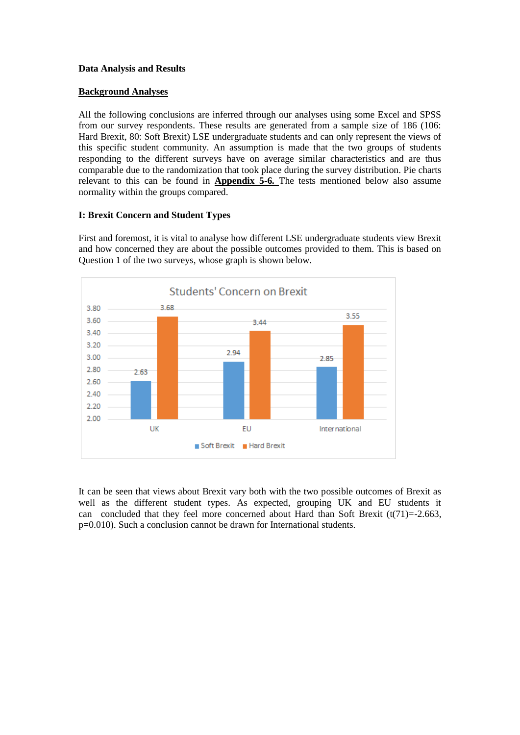#### **Data Analysis and Results**

#### **Background Analyses**

All the following conclusions are inferred through our analyses using some Excel and SPSS from our survey respondents. These results are generated from a sample size of 186 (106: Hard Brexit, 80: Soft Brexit) LSE undergraduate students and can only represent the views of this specific student community. An assumption is made that the two groups of students responding to the different surveys have on average similar characteristics and are thus comparable due to the randomization that took place during the survey distribution. Pie charts relevant to this can be found in **Appendix 5-6***.* The tests mentioned below also assume normality within the groups compared.

#### **I: Brexit Concern and Student Types**

First and foremost, it is vital to analyse how different LSE undergraduate students view Brexit and how concerned they are about the possible outcomes provided to them. This is based on Question 1 of the two surveys, whose graph is shown below.



It can be seen that views about Brexit vary both with the two possible outcomes of Brexit as well as the different student types. As expected, grouping UK and EU students it can concluded that they feel more concerned about Hard than Soft Brexit  $(t(71)=2.663$ , p=0.010). Such a conclusion cannot be drawn for International students.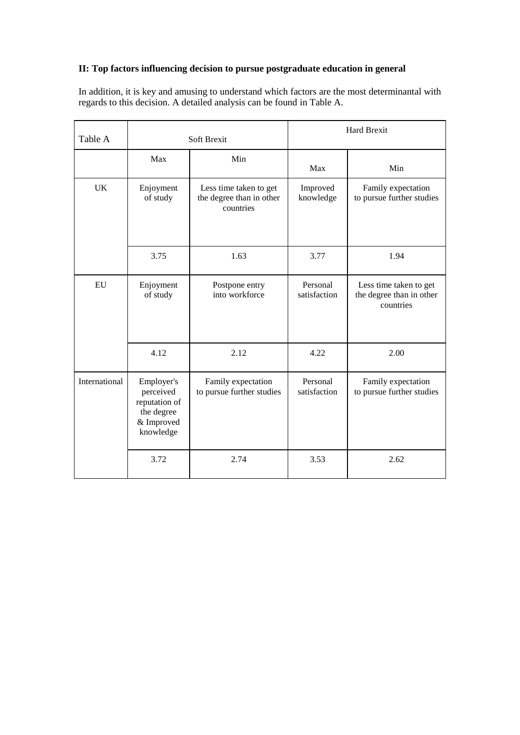# **II: Top factors influencing decision to pursue postgraduate education in general**

In addition, it is key and amusing to understand which factors are the most determinantal with regards to this decision. A detailed analysis can be found in Table A.

| Table A                                                                                                                                               |                       | Soft Brexit                                                     |                                                 | <b>Hard Brexit</b>                                              |
|-------------------------------------------------------------------------------------------------------------------------------------------------------|-----------------------|-----------------------------------------------------------------|-------------------------------------------------|-----------------------------------------------------------------|
|                                                                                                                                                       | Max                   | Min                                                             | Max                                             | Min                                                             |
| UK                                                                                                                                                    | Enjoyment<br>of study | Less time taken to get<br>the degree than in other<br>countries | Improved<br>knowledge                           | Family expectation<br>to pursue further studies                 |
|                                                                                                                                                       | 3.75                  | 1.63                                                            | 3.77                                            | 1.94                                                            |
| EU                                                                                                                                                    | Enjoyment<br>of study | Postpone entry<br>into workforce                                |                                                 | Less time taken to get<br>the degree than in other<br>countries |
|                                                                                                                                                       | 4.12                  | 2.12                                                            | 4.22                                            | 2.00                                                            |
| International<br>Family expectation<br>Employer's<br>to pursue further studies<br>perceived<br>reputation of<br>the degree<br>& Improved<br>knowledge |                       | Personal<br>satisfaction                                        | Family expectation<br>to pursue further studies |                                                                 |
|                                                                                                                                                       | 3.72                  | 2.74                                                            | 3.53                                            | 2.62                                                            |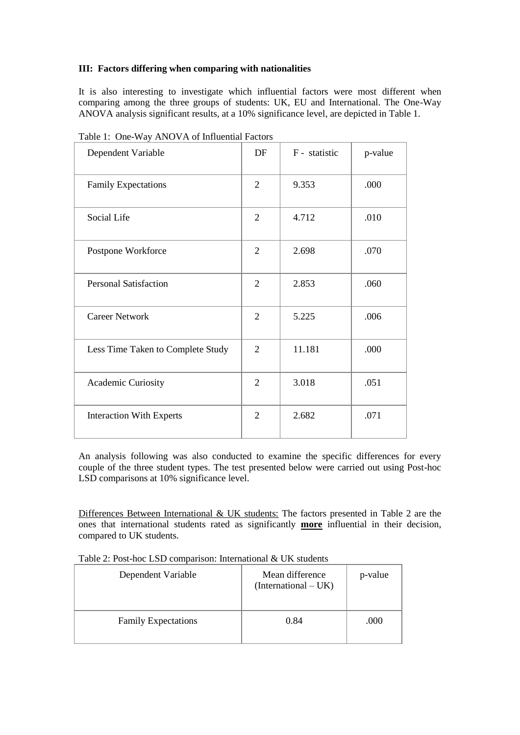#### **III: Factors differing when comparing with nationalities**

It is also interesting to investigate which influential factors were most different when comparing among the three groups of students: UK, EU and International. The One-Way ANOVA analysis significant results, at a 10% significance level, are depicted in Table 1.

| Dependent Variable                | DF             | F - statistic | p-value |
|-----------------------------------|----------------|---------------|---------|
| <b>Family Expectations</b>        | $\overline{2}$ | 9.353         | .000    |
| Social Life                       | $\overline{2}$ | 4.712         | .010    |
| Postpone Workforce                | $\overline{2}$ | 2.698         | .070    |
| <b>Personal Satisfaction</b>      | $\overline{2}$ | 2.853         | .060    |
| <b>Career Network</b>             | $\overline{2}$ | 5.225         | .006    |
| Less Time Taken to Complete Study | $\overline{2}$ | 11.181        | .000    |
| Academic Curiosity                | $\overline{2}$ | 3.018         | .051    |
| <b>Interaction With Experts</b>   | $\overline{2}$ | 2.682         | .071    |

Table 1: One-Way ANOVA of Influential Factors

An analysis following was also conducted to examine the specific differences for every couple of the three student types. The test presented below were carried out using Post-hoc LSD comparisons at 10% significance level.

Differences Between International & UK students: The factors presented in Table 2 are the ones that international students rated as significantly **more** influential in their decision, compared to UK students.

| Table 2: Post-hoc LSD comparison: International & UK students |  |  |  |
|---------------------------------------------------------------|--|--|--|
|---------------------------------------------------------------|--|--|--|

| Dependent Variable         | Mean difference<br>(International – UK) | p-value |
|----------------------------|-----------------------------------------|---------|
| <b>Family Expectations</b> | 0.84                                    | .000    |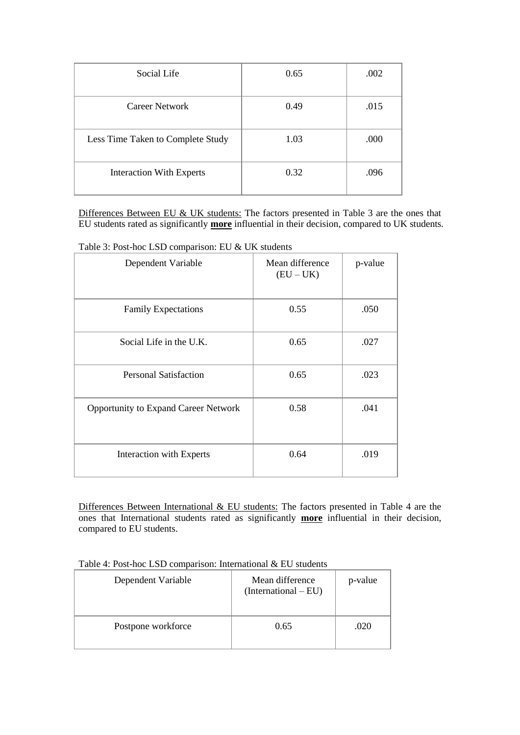| Social Life                       | 0.65 | .002 |
|-----------------------------------|------|------|
| Career Network                    | 0.49 | .015 |
| Less Time Taken to Complete Study | 1.03 | .000 |
| <b>Interaction With Experts</b>   | 0.32 | .096 |

Differences Between EU & UK students: The factors presented in Table 3 are the ones that EU students rated as significantly **more** influential in their decision, compared to UK students.

| Dependent Variable                          | Mean difference<br>$(EU - UK)$ | p-value |
|---------------------------------------------|--------------------------------|---------|
| <b>Family Expectations</b>                  | 0.55                           | .050    |
| Social Life in the U.K.                     | 0.65                           | .027    |
| <b>Personal Satisfaction</b>                | 0.65                           | .023    |
| <b>Opportunity to Expand Career Network</b> | 0.58                           | .041    |
| Interaction with Experts                    | 0.64                           | .019    |

Table 3: Post-hoc LSD comparison: EU & UK students

Differences Between International & EU students: The factors presented in Table 4 are the ones that International students rated as significantly **more** influential in their decision, compared to EU students.

| Dependent Variable | Mean difference<br>$(International - EU)$ | p-value |
|--------------------|-------------------------------------------|---------|
| Postpone workforce | 0.65                                      | .020    |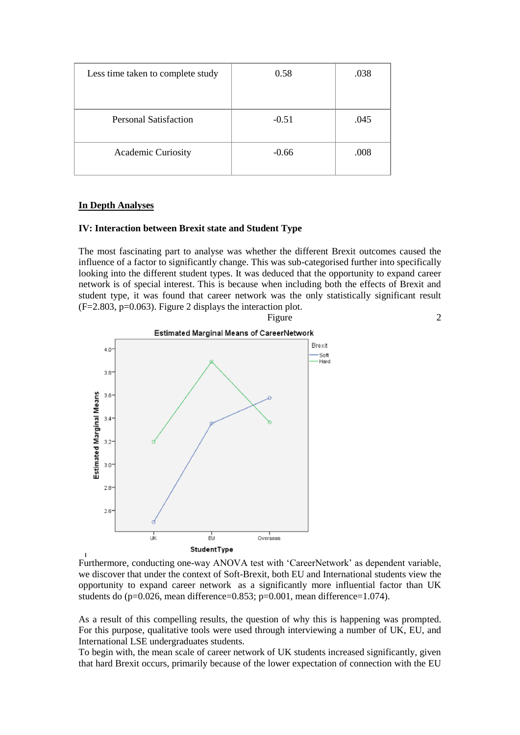| Less time taken to complete study | 0.58    | .038 |
|-----------------------------------|---------|------|
|                                   |         |      |
| <b>Personal Satisfaction</b>      | $-0.51$ | .045 |
| Academic Curiosity                | $-0.66$ | .008 |

#### **In Depth Analyses**

#### **IV: Interaction between Brexit state and Student Type**

The most fascinating part to analyse was whether the different Brexit outcomes caused the influence of a factor to significantly change. This was sub-categorised further into specifically looking into the different student types. It was deduced that the opportunity to expand career network is of special interest. This is because when including both the effects of Brexit and student type, it was found that career network was the only statistically significant result  $(F=2.803, p=0.063)$ . Figure 2 displays the interaction plot.



Furthermore, conducting one-way ANOVA test with 'CareerNetwork' as dependent variable, we discover that under the context of Soft-Brexit, both EU and International students view the opportunity to expand career network as a significantly more influential factor than UK students do (p=0.026, mean difference=0.853; p=0.001, mean difference=1.074).

As a result of this compelling results, the question of why this is happening was prompted. For this purpose, qualitative tools were used through interviewing a number of UK, EU, and International LSE undergraduates students.

To begin with, the mean scale of career network of UK students increased significantly, given that hard Brexit occurs, primarily because of the lower expectation of connection with the EU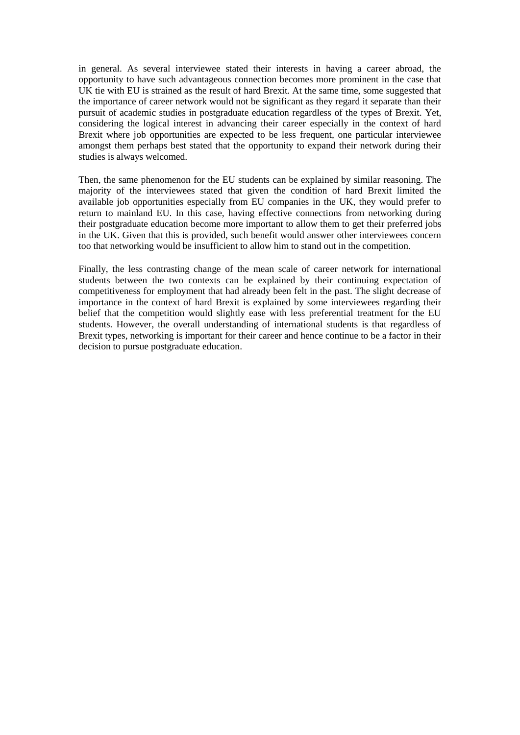in general. As several interviewee stated their interests in having a career abroad, the opportunity to have such advantageous connection becomes more prominent in the case that UK tie with EU is strained as the result of hard Brexit. At the same time, some suggested that the importance of career network would not be significant as they regard it separate than their pursuit of academic studies in postgraduate education regardless of the types of Brexit. Yet, considering the logical interest in advancing their career especially in the context of hard Brexit where job opportunities are expected to be less frequent, one particular interviewee amongst them perhaps best stated that the opportunity to expand their network during their studies is always welcomed.

Then, the same phenomenon for the EU students can be explained by similar reasoning. The majority of the interviewees stated that given the condition of hard Brexit limited the available job opportunities especially from EU companies in the UK, they would prefer to return to mainland EU. In this case, having effective connections from networking during their postgraduate education become more important to allow them to get their preferred jobs in the UK. Given that this is provided, such benefit would answer other interviewees concern too that networking would be insufficient to allow him to stand out in the competition.

Finally, the less contrasting change of the mean scale of career network for international students between the two contexts can be explained by their continuing expectation of competitiveness for employment that had already been felt in the past. The slight decrease of importance in the context of hard Brexit is explained by some interviewees regarding their belief that the competition would slightly ease with less preferential treatment for the EU students. However, the overall understanding of international students is that regardless of Brexit types, networking is important for their career and hence continue to be a factor in their decision to pursue postgraduate education.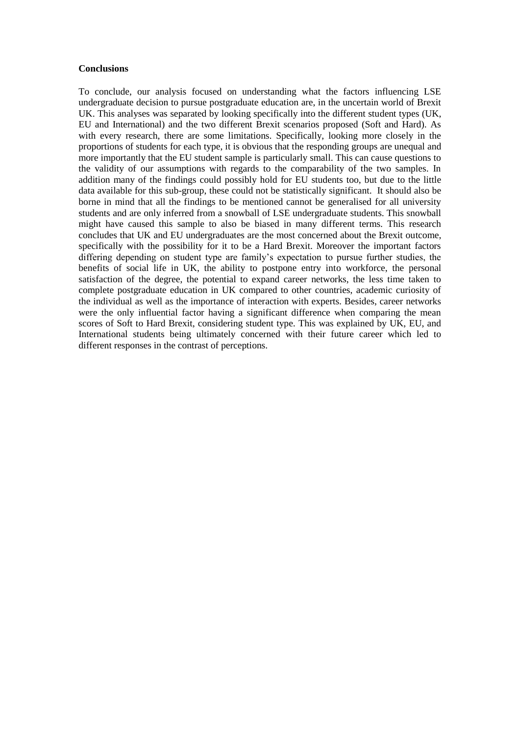#### **Conclusions**

To conclude, our analysis focused on understanding what the factors influencing LSE undergraduate decision to pursue postgraduate education are, in the uncertain world of Brexit UK. This analyses was separated by looking specifically into the different student types (UK, EU and International) and the two different Brexit scenarios proposed (Soft and Hard). As with every research, there are some limitations. Specifically, looking more closely in the proportions of students for each type, it is obvious that the responding groups are unequal and more importantly that the EU student sample is particularly small. This can cause questions to the validity of our assumptions with regards to the comparability of the two samples. In addition many of the findings could possibly hold for EU students too, but due to the little data available for this sub-group, these could not be statistically significant. It should also be borne in mind that all the findings to be mentioned cannot be generalised for all university students and are only inferred from a snowball of LSE undergraduate students. This snowball might have caused this sample to also be biased in many different terms. This research concludes that UK and EU undergraduates are the most concerned about the Brexit outcome, specifically with the possibility for it to be a Hard Brexit. Moreover the important factors differing depending on student type are family's expectation to pursue further studies, the benefits of social life in UK, the ability to postpone entry into workforce, the personal satisfaction of the degree, the potential to expand career networks, the less time taken to complete postgraduate education in UK compared to other countries, academic curiosity of the individual as well as the importance of interaction with experts. Besides, career networks were the only influential factor having a significant difference when comparing the mean scores of Soft to Hard Brexit, considering student type. This was explained by UK, EU, and International students being ultimately concerned with their future career which led to different responses in the contrast of perceptions.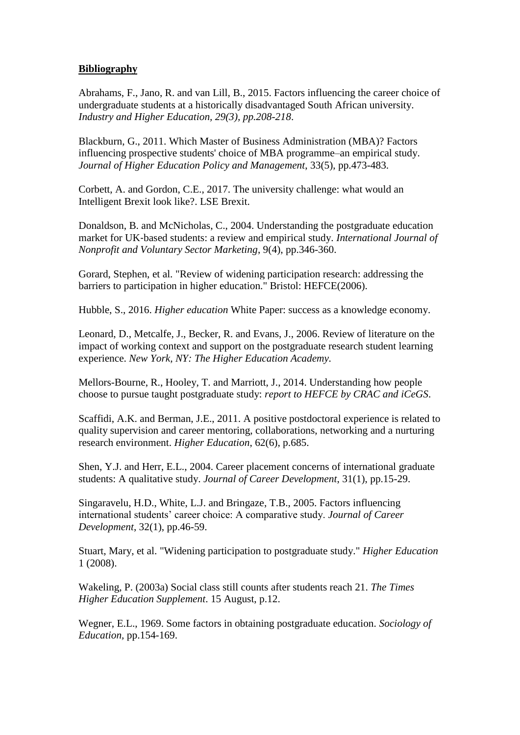#### **Bibliography**

Abrahams, F., Jano, R. and van Lill, B., 2015. Factors influencing the career choice of undergraduate students at a historically disadvantaged South African university. *Industry and Higher Education, 29(3), pp.208-218*.

Blackburn, G., 2011. Which Master of Business Administration (MBA)? Factors influencing prospective students' choice of MBA programme–an empirical study. *Journal of Higher Education Policy and Management*, 33(5), pp.473-483.

Corbett, A. and Gordon, C.E., 2017. The university challenge: what would an Intelligent Brexit look like?. LSE Brexit.

Donaldson, B. and McNicholas, C., 2004. Understanding the postgraduate education market for UK‐based students: a review and empirical study. *International Journal of Nonprofit and Voluntary Sector Marketing*, 9(4), pp.346-360.

Gorard, Stephen, et al. "Review of widening participation research: addressing the barriers to participation in higher education." Bristol: HEFCE(2006).

Hubble, S., 2016. *Higher education* White Paper: success as a knowledge economy.

Leonard, D., Metcalfe, J., Becker, R. and Evans, J., 2006. Review of literature on the impact of working context and support on the postgraduate research student learning experience. *New York, NY: The Higher Education Academy.*

Mellors-Bourne, R., Hooley, T. and Marriott, J., 2014. Understanding how people choose to pursue taught postgraduate study: *report to HEFCE by CRAC and iCeGS*.

Scaffidi, A.K. and Berman, J.E., 2011. A positive postdoctoral experience is related to quality supervision and career mentoring, collaborations, networking and a nurturing research environment. *Higher Education*, 62(6), p.685.

Shen, Y.J. and Herr, E.L., 2004. Career placement concerns of international graduate students: A qualitative study. *Journal of Career Development*, 31(1), pp.15-29.

Singaravelu, H.D., White, L.J. and Bringaze, T.B., 2005. Factors influencing international students' career choice: A comparative study. *Journal of Career Development*, 32(1), pp.46-59.

Stuart, Mary, et al. "Widening participation to postgraduate study." *Higher Education* 1 (2008).

Wakeling, P. (2003a) Social class still counts after students reach 21. *The Times Higher Education Supplement*. 15 August, p.12.

Wegner, E.L., 1969. Some factors in obtaining postgraduate education. *Sociology of Education,* pp.154-169.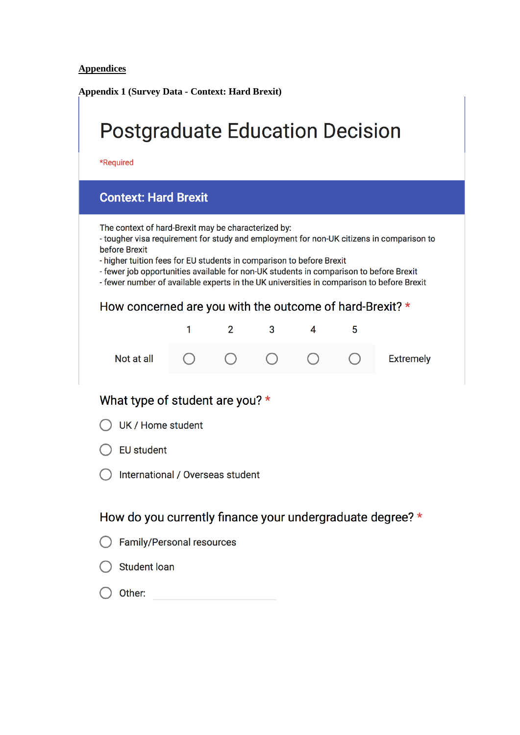# **Appendices**

**Appendix 1 (Survey Data - Context: Hard Brexit)**

| <b>Postgraduate Education Decision</b><br>*Required            |                                                                                                                                                                                                                                                                                                                                                                                                                |                |   |   |   |                  |  |
|----------------------------------------------------------------|----------------------------------------------------------------------------------------------------------------------------------------------------------------------------------------------------------------------------------------------------------------------------------------------------------------------------------------------------------------------------------------------------------------|----------------|---|---|---|------------------|--|
| <b>Context: Hard Brexit</b>                                    |                                                                                                                                                                                                                                                                                                                                                                                                                |                |   |   |   |                  |  |
| before Brexit                                                  | The context of hard-Brexit may be characterized by:<br>- tougher visa requirement for study and employment for non-UK citizens in comparison to<br>- higher tuition fees for EU students in comparison to before Brexit<br>- fewer job opportunities available for non-UK students in comparison to before Brexit<br>- fewer number of available experts in the UK universities in comparison to before Brexit |                |   |   |   |                  |  |
| How concerned are you with the outcome of hard-Brexit? $\star$ |                                                                                                                                                                                                                                                                                                                                                                                                                |                |   |   |   |                  |  |
|                                                                | 1                                                                                                                                                                                                                                                                                                                                                                                                              | $\overline{2}$ | 3 | 4 | 5 |                  |  |
| Not at all                                                     |                                                                                                                                                                                                                                                                                                                                                                                                                |                |   |   |   | <b>Extremely</b> |  |
| What type of student are you? $\star$                          |                                                                                                                                                                                                                                                                                                                                                                                                                |                |   |   |   |                  |  |
| UK / Home student                                              |                                                                                                                                                                                                                                                                                                                                                                                                                |                |   |   |   |                  |  |
| <b>EU student</b>                                              |                                                                                                                                                                                                                                                                                                                                                                                                                |                |   |   |   |                  |  |
| International / Overseas student                               |                                                                                                                                                                                                                                                                                                                                                                                                                |                |   |   |   |                  |  |
| How do you currently finance your undergraduate degree? *      |                                                                                                                                                                                                                                                                                                                                                                                                                |                |   |   |   |                  |  |
| <b>Family/Personal resources</b>                               |                                                                                                                                                                                                                                                                                                                                                                                                                |                |   |   |   |                  |  |
| <b>Student loan</b>                                            |                                                                                                                                                                                                                                                                                                                                                                                                                |                |   |   |   |                  |  |

 $\bigcirc$  Other: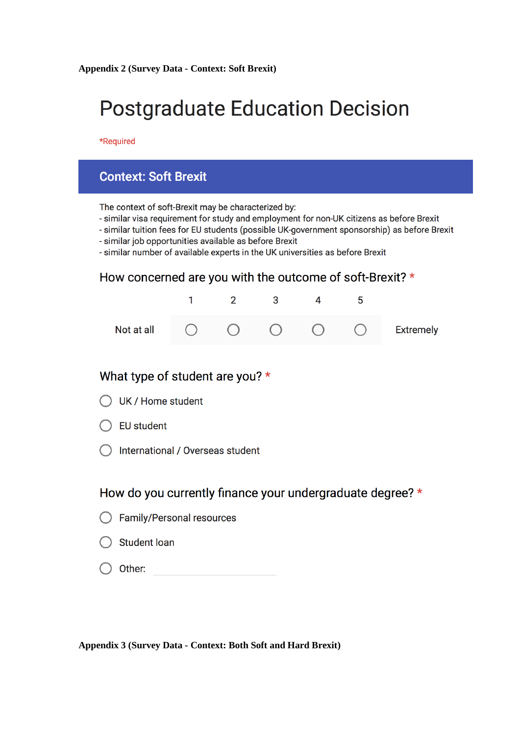# **Postgraduate Education Decision**

\*Required

# **Context: Soft Brexit**

The context of soft-Brexit may be characterized by:

- similar visa requirement for study and employment for non-UK citizens as before Brexit
- similar tuition fees for EU students (possible UK-government sponsorship) as before Brexit
- similar job opportunities available as before Brexit
- similar number of available experts in the UK universities as before Brexit

## How concerned are you with the outcome of soft-Brexit? \*

|  |  |  | Not at all $\bigcap$ $\bigcap$ $\bigcap$ $\bigcap$ $\bigcap$ $\bigcap$ Extremely |
|--|--|--|----------------------------------------------------------------------------------|

## What type of student are you? \*

|  | UK / Home student |
|--|-------------------|
|  |                   |

- $\bigcap$  EU student
- International / Overseas student

# How do you currently finance your undergraduate degree? \*

- Family/Personal resources
- **Student loan**
- Other:

**Appendix 3 (Survey Data - Context: Both Soft and Hard Brexit)**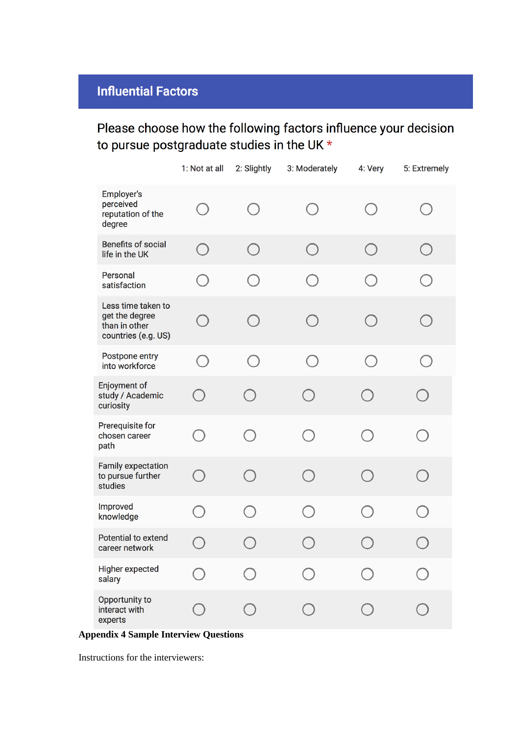# **Influential Factors**

# Please choose how the following factors influence your decision to pursue postgraduate studies in the UK \*

|                                                                              | 1: Not at all                               | 2: Slightly | 3: Moderately | 4: Very    | 5: Extremely |
|------------------------------------------------------------------------------|---------------------------------------------|-------------|---------------|------------|--------------|
| Employer's<br>perceived<br>reputation of the<br>degree                       | $\left(\begin{array}{c} \end{array}\right)$ | $\bigcap$   | $\bigcirc$    | $\bigcap$  | ( )          |
| <b>Benefits of social</b><br>life in the UK                                  | $\bigcirc$                                  | $\bigcap$   | $\bigcirc$    | $\bigcirc$ | $\bigcap$    |
| Personal<br>satisfaction                                                     | $\left(\begin{array}{c} \end{array}\right)$ | $\bigcirc$  | $\bigcap$     | $\bigcirc$ | $\bigcirc$   |
| Less time taken to<br>get the degree<br>than in other<br>countries (e.g. US) | $\bigcirc$                                  | $\bigcap$   | $\bigcirc$    | $\bigcap$  | $\bigcap$    |
| Postpone entry<br>into workforce                                             | $\bigcirc$                                  | $\bigcirc$  | $\bigcap$     | $\bigcirc$ | $\bigcirc$   |
| Enjoyment of<br>study / Academic<br>curiosity                                | $\bigcap$                                   | $\bigcirc$  | $\bigcirc$    | $\bigcirc$ | $\bigcap$    |
| Prerequisite for<br>chosen career<br>path                                    | $\bigcirc$                                  | $\bigcirc$  | $\bigcap$     | $\bigcap$  | $\bigcap$    |
| <b>Family expectation</b><br>to pursue further<br>studies                    | $\bigcap$                                   | $\bigcirc$  | $\bigcirc$    | $\bigcap$  | $\bigcirc$   |
| Improved<br>knowledge                                                        | $\bigcap$                                   | $\bigcirc$  | $\bigcirc$    | $\bigcap$  | $\bigcap$    |
| Potential to extend<br>career network                                        | $\bigcirc$                                  | $\bigcirc$  | $(\ )$        | $\bigcirc$ | $\Box$       |
| Higher expected<br>salary                                                    |                                             |             |               |            |              |
| Opportunity to<br>interact with<br>experts                                   |                                             |             |               |            |              |

### **Appendix 4 Sample Interview Questions**

Instructions for the interviewers: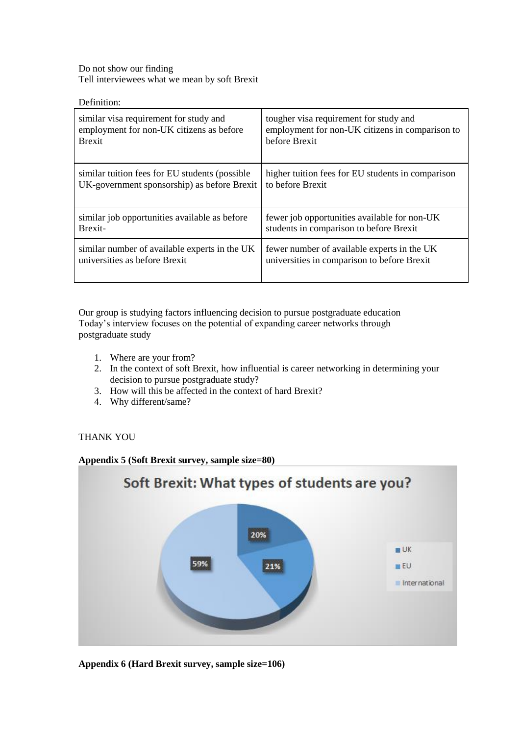Do not show our finding Tell interviewees what we mean by soft Brexit

Definition:

| similar visa requirement for study and          | tougher visa requirement for study and            |
|-------------------------------------------------|---------------------------------------------------|
| employment for non-UK citizens as before        | employment for non-UK citizens in comparison to   |
| <b>Brexit</b>                                   | before Brexit                                     |
| similar tuition fees for EU students (possible) | higher tuition fees for EU students in comparison |
| UK-government sponsorship) as before Brexit     | to before Brexit                                  |
| similar job opportunities available as before   | fewer job opportunities available for non-UK      |
| Brexit-                                         | students in comparison to before Brexit           |
| similar number of available experts in the UK   | fewer number of available experts in the UK       |
| universities as before Brexit                   | universities in comparison to before Brexit       |

Our group is studying factors influencing decision to pursue postgraduate education Today's interview focuses on the potential of expanding career networks through postgraduate study

- 1. Where are your from?
- 2. In the context of soft Brexit, how influential is career networking in determining your decision to pursue postgraduate study?
- 3. How will this be affected in the context of hard Brexit?
- 4. Why different/same?

#### THANK YOU

**Appendix 5 (Soft Brexit survey, sample size=80)**



**Appendix 6 (Hard Brexit survey, sample size=106)**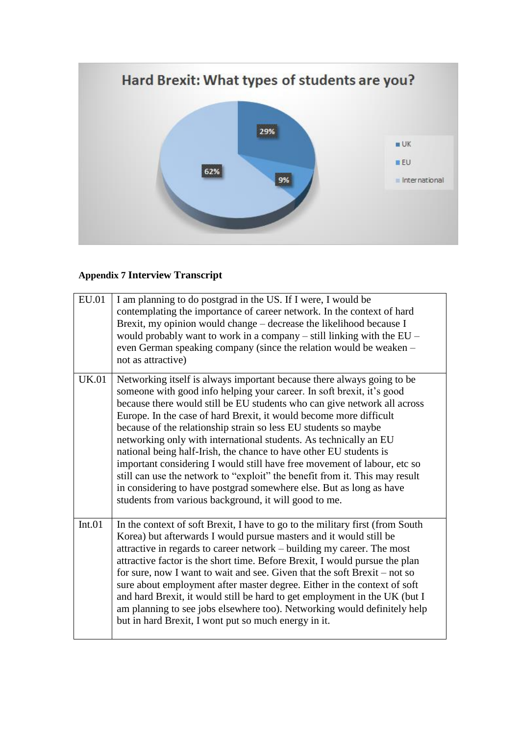

# **Appendix 7 Interview Transcript**

| EU.01        | I am planning to do postgrad in the US. If I were, I would be<br>contemplating the importance of career network. In the context of hard<br>Brexit, my opinion would change – decrease the likelihood because I<br>would probably want to work in a company $-$ still linking with the EU $-$<br>even German speaking company (since the relation would be weaken -<br>not as attractive)                                                                                                                                                                                                                                                                                                                                                                                                                   |
|--------------|------------------------------------------------------------------------------------------------------------------------------------------------------------------------------------------------------------------------------------------------------------------------------------------------------------------------------------------------------------------------------------------------------------------------------------------------------------------------------------------------------------------------------------------------------------------------------------------------------------------------------------------------------------------------------------------------------------------------------------------------------------------------------------------------------------|
| <b>UK.01</b> | Networking itself is always important because there always going to be<br>someone with good info helping your career. In soft brexit, it's good<br>because there would still be EU students who can give network all across<br>Europe. In the case of hard Brexit, it would become more difficult<br>because of the relationship strain so less EU students so maybe<br>networking only with international students. As technically an EU<br>national being half-Irish, the chance to have other EU students is<br>important considering I would still have free movement of labour, etc so<br>still can use the network to "exploit" the benefit from it. This may result<br>in considering to have postgrad somewhere else. But as long as have<br>students from various background, it will good to me. |
| Int.01       | In the context of soft Brexit, I have to go to the military first (from South<br>Korea) but afterwards I would pursue masters and it would still be<br>attractive in regards to career network – building my career. The most<br>attractive factor is the short time. Before Brexit, I would pursue the plan<br>for sure, now I want to wait and see. Given that the soft Brexit – not so<br>sure about employment after master degree. Either in the context of soft<br>and hard Brexit, it would still be hard to get employment in the UK (but I<br>am planning to see jobs elsewhere too). Networking would definitely help<br>but in hard Brexit, I wont put so much energy in it.                                                                                                                    |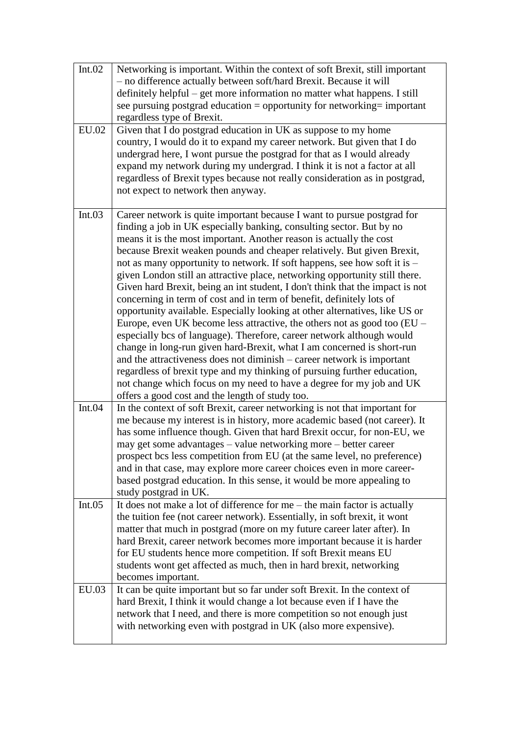| Int.02       | Networking is important. Within the context of soft Brexit, still important<br>- no difference actually between soft/hard Brexit. Because it will<br>definitely helpful – get more information no matter what happens. I still<br>see pursuing postgrad education = opportunity for networking= important<br>regardless type of Brexit.                                                                                                                                                                                                                                                                                                                                                                                                                                                                                                                                                                                                                                                                                                                                                                                                                                                                               |
|--------------|-----------------------------------------------------------------------------------------------------------------------------------------------------------------------------------------------------------------------------------------------------------------------------------------------------------------------------------------------------------------------------------------------------------------------------------------------------------------------------------------------------------------------------------------------------------------------------------------------------------------------------------------------------------------------------------------------------------------------------------------------------------------------------------------------------------------------------------------------------------------------------------------------------------------------------------------------------------------------------------------------------------------------------------------------------------------------------------------------------------------------------------------------------------------------------------------------------------------------|
| <b>EU.02</b> | Given that I do postgrad education in UK as suppose to my home<br>country, I would do it to expand my career network. But given that I do<br>undergrad here, I wont pursue the postgrad for that as I would already<br>expand my network during my undergrad. I think it is not a factor at all<br>regardless of Brexit types because not really consideration as in postgrad,<br>not expect to network then anyway.                                                                                                                                                                                                                                                                                                                                                                                                                                                                                                                                                                                                                                                                                                                                                                                                  |
| Int.03       | Career network is quite important because I want to pursue postgrad for<br>finding a job in UK especially banking, consulting sector. But by no<br>means it is the most important. Another reason is actually the cost<br>because Brexit weaken pounds and cheaper relatively. But given Brexit,<br>not as many opportunity to network. If soft happens, see how soft it is -<br>given London still an attractive place, networking opportunity still there.<br>Given hard Brexit, being an int student, I don't think that the impact is not<br>concerning in term of cost and in term of benefit, definitely lots of<br>opportunity available. Especially looking at other alternatives, like US or<br>Europe, even UK become less attractive, the others not as good too (EU -<br>especially bcs of language). Therefore, career network although would<br>change in long-run given hard-Brexit, what I am concerned is short-run<br>and the attractiveness does not diminish – career network is important<br>regardless of brexit type and my thinking of pursuing further education,<br>not change which focus on my need to have a degree for my job and UK<br>offers a good cost and the length of study too. |
| Int.04       | In the context of soft Brexit, career networking is not that important for<br>me because my interest is in history, more academic based (not career). It<br>has some influence though. Given that hard Brexit occur, for non-EU, we<br>may get some advantages – value networking more – better career<br>prospect bcs less competition from EU (at the same level, no preference)<br>and in that case, may explore more career choices even in more career-<br>based postgrad education. In this sense, it would be more appealing to<br>study postgrad in UK.                                                                                                                                                                                                                                                                                                                                                                                                                                                                                                                                                                                                                                                       |
| Int.05       | It does not make a lot of difference for me $-$ the main factor is actually<br>the tuition fee (not career network). Essentially, in soft brexit, it wont<br>matter that much in postgrad (more on my future career later after). In<br>hard Brexit, career network becomes more important because it is harder<br>for EU students hence more competition. If soft Brexit means EU<br>students wont get affected as much, then in hard brexit, networking<br>becomes important.                                                                                                                                                                                                                                                                                                                                                                                                                                                                                                                                                                                                                                                                                                                                       |
| EU.03        | It can be quite important but so far under soft Brexit. In the context of<br>hard Brexit, I think it would change a lot because even if I have the<br>network that I need, and there is more competition so not enough just<br>with networking even with postgrad in UK (also more expensive).                                                                                                                                                                                                                                                                                                                                                                                                                                                                                                                                                                                                                                                                                                                                                                                                                                                                                                                        |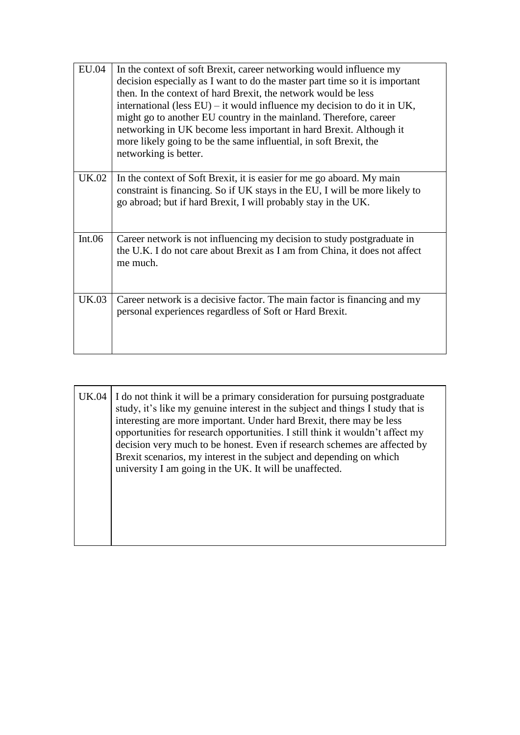| <b>EU.04</b> | In the context of soft Brexit, career networking would influence my<br>decision especially as I want to do the master part time so it is important<br>then. In the context of hard Brexit, the network would be less<br>international (less $EU$ ) – it would influence my decision to do it in UK,<br>might go to another EU country in the mainland. Therefore, career<br>networking in UK become less important in hard Brexit. Although it |
|--------------|------------------------------------------------------------------------------------------------------------------------------------------------------------------------------------------------------------------------------------------------------------------------------------------------------------------------------------------------------------------------------------------------------------------------------------------------|
|              | more likely going to be the same influential, in soft Brexit, the<br>networking is better.                                                                                                                                                                                                                                                                                                                                                     |
| UK.02        | In the context of Soft Brexit, it is easier for me go aboard. My main<br>constraint is financing. So if UK stays in the EU, I will be more likely to<br>go abroad; but if hard Brexit, I will probably stay in the UK.                                                                                                                                                                                                                         |
| Int.06       | Career network is not influencing my decision to study postgraduate in<br>the U.K. I do not care about Brexit as I am from China, it does not affect<br>me much.                                                                                                                                                                                                                                                                               |
| <b>UK.03</b> | Career network is a decisive factor. The main factor is financing and my<br>personal experiences regardless of Soft or Hard Brexit.                                                                                                                                                                                                                                                                                                            |

UK.04 | I do not think it will be a primary consideration for pursuing postgraduate study, it's like my genuine interest in the subject and things I study that is interesting are more important. Under hard Brexit, there may be less opportunities for research opportunities. I still think it wouldn't affect my decision very much to be honest. Even if research schemes are affected by Brexit scenarios, my interest in the subject and depending on which university I am going in the UK. It will be unaffected.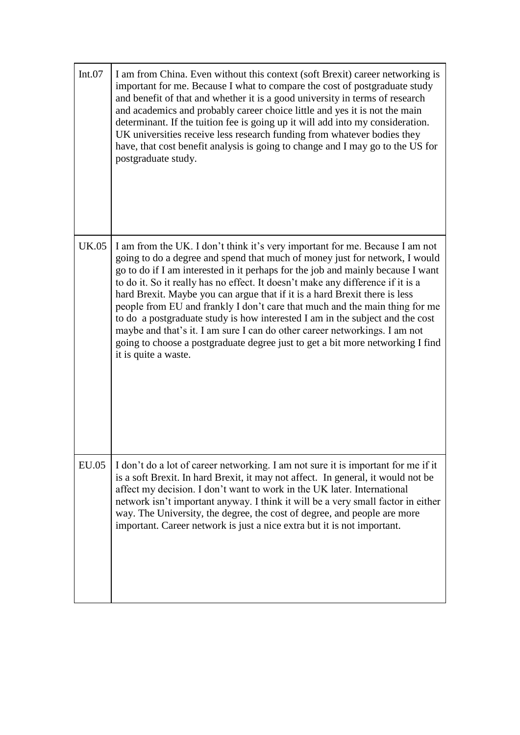| Int.07       | I am from China. Even without this context (soft Brexit) career networking is<br>important for me. Because I what to compare the cost of postgraduate study<br>and benefit of that and whether it is a good university in terms of research<br>and academics and probably career choice little and yes it is not the main<br>determinant. If the tuition fee is going up it will add into my consideration.<br>UK universities receive less research funding from whatever bodies they<br>have, that cost benefit analysis is going to change and I may go to the US for<br>postgraduate study.                                                                                                                                                                         |
|--------------|-------------------------------------------------------------------------------------------------------------------------------------------------------------------------------------------------------------------------------------------------------------------------------------------------------------------------------------------------------------------------------------------------------------------------------------------------------------------------------------------------------------------------------------------------------------------------------------------------------------------------------------------------------------------------------------------------------------------------------------------------------------------------|
| <b>UK.05</b> | I am from the UK. I don't think it's very important for me. Because I am not<br>going to do a degree and spend that much of money just for network, I would<br>go to do if I am interested in it perhaps for the job and mainly because I want<br>to do it. So it really has no effect. It doesn't make any difference if it is a<br>hard Brexit. Maybe you can argue that if it is a hard Brexit there is less<br>people from EU and frankly I don't care that much and the main thing for me<br>to do a postgraduate study is how interested I am in the subject and the cost<br>maybe and that's it. I am sure I can do other career networkings. I am not<br>going to choose a postgraduate degree just to get a bit more networking I find<br>it is quite a waste. |
| <b>EU.05</b> | I don't do a lot of career networking. I am not sure it is important for me if it<br>is a soft Brexit. In hard Brexit, it may not affect. In general, it would not be<br>affect my decision. I don't want to work in the UK later. International<br>network isn't important anyway. I think it will be a very small factor in either<br>way. The University, the degree, the cost of degree, and people are more<br>important. Career network is just a nice extra but it is not important.                                                                                                                                                                                                                                                                             |